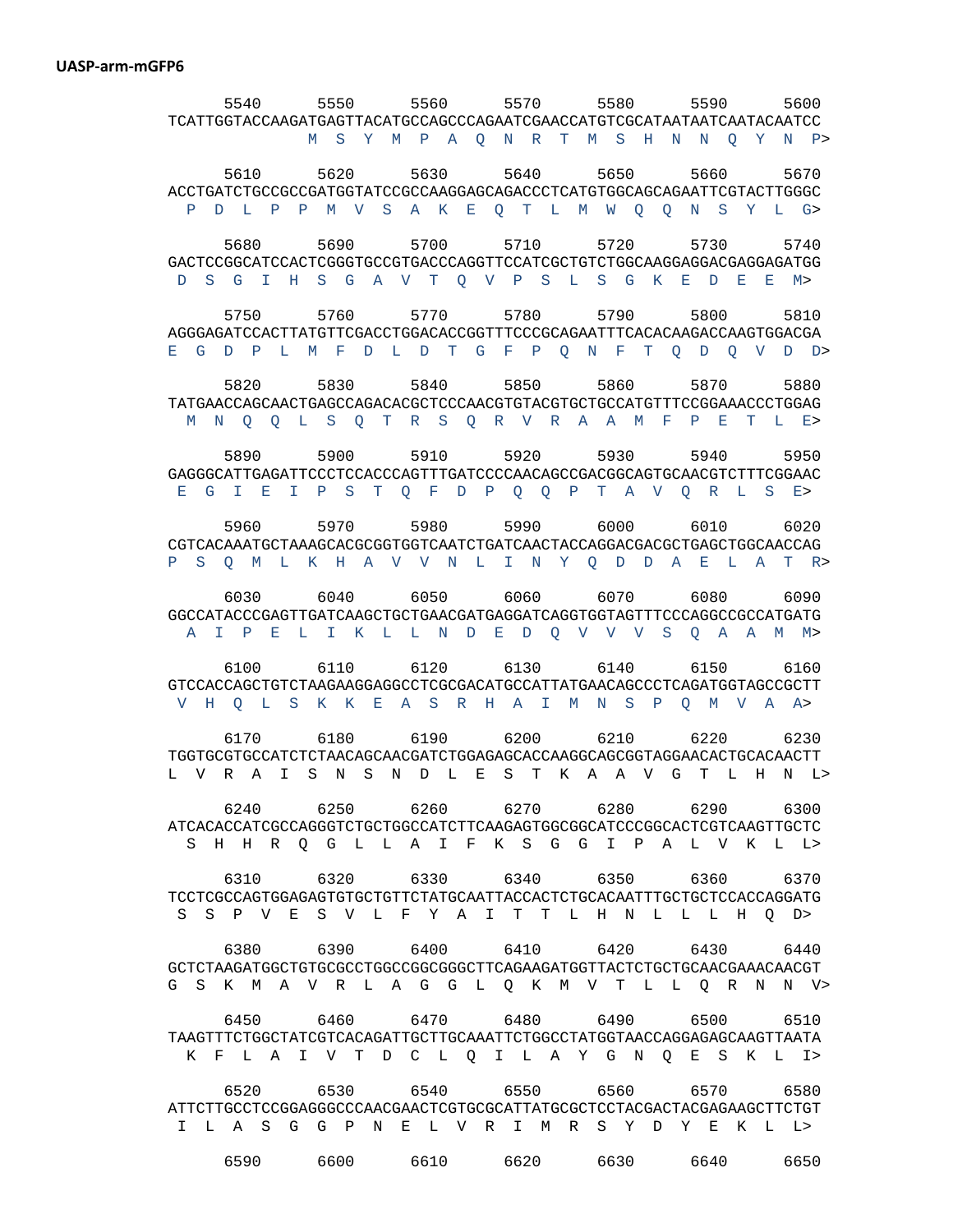## **UASP-arm-mGFP6**

 5540 5550 5560 5570 5580 5590 5600 TCATTGGTACCAAGATGAGTTACATGCCAGCCCAGAATCGAACCATGTCGCATAATAATCAATACAATCC M S Y M P A Q N R T M S H N N Q Y N P> 5610 5620 5630 5640 5650 5660 5670 ACCTGATCTGCCGCCGATGGTATCCGCCAAGGAGCAGACCCTCATGTGGCAGCAGAATTCGTACTTGGGC P D L P P M V S A K E Q T L M W Q Q N S Y L G> 5680 5690 5700 5710 5720 5730 5740 GACTCCGGCATCCACTCGGGTGCCGTGACCCAGGTTCCATCGCTGTCTGGCAAGGAGGACGAGGAGATGG D S G I H S G A V T Q V P S L S G K E D E E M> 5750 5760 5770 5780 5790 5800 5810 AGGGAGATCCACTTATGTTCGACCTGGACACCGGTTTCCCGCAGAATTTCACACAAGACCAAGTGGACGA E G D P L M F D L D T G F P Q N F T Q D Q V D D> 5820 5830 5840 5850 5860 5870 5880 TATGAACCAGCAACTGAGCCAGACACGCTCCCAACGTGTACGTGCTGCCATGTTTCCGGAAACCCTGGAG M N Q Q L S Q T R S Q R V R A A M F P E T L E> 5890 5900 5910 5920 5930 5940 5950 GAGGGCATTGAGATTCCCTCCACCCAGTTTGATCCCCAACAGCCGACGGCAGTGCAACGTCTTTCGGAAC E G I E I P S T Q F D P Q Q P T A V Q R L S E> 5960 5970 5980 5990 6000 6010 6020 CGTCACAAATGCTAAAGCACGCGGTGGTCAATCTGATCAACTACCAGGACGACGCTGAGCTGGCAACCAG P S Q M L K H A V V N L I N Y Q D D A E L A T R> 6030 6040 6050 6060 6070 6080 6090 GGCCATACCCGAGTTGATCAAGCTGCTGAACGATGAGGATCAGGTGGTAGTTTCCCAGGCCGCCATGATG A I P E L I K L L N D E D Q V V V S Q A A M M> 6100 6110 6120 6130 6140 6150 6160 GTCCACCAGCTGTCTAAGAAGGAGGCCTCGCGACATGCCATTATGAACAGCCCTCAGATGGTAGCCGCTT V H Q L S K K E A S R H A I M N S P Q M V A A> 6170 6180 6190 6200 6210 6220 6230 TGGTGCGTGCCATCTCTAACAGCAACGATCTGGAGAGCACCAAGGCAGCGGTAGGAACACTGCACAACTT L V R A I S N S N D L E S T K A A V G T L H N L> 6240 6250 6260 6270 6280 6290 6300 ATCACACCATCGCCAGGGTCTGCTGGCCATCTTCAAGAGTGGCGGCATCCCGGCACTCGTCAAGTTGCTC S H H R Q G L L A I F K S G G I P A L V K L L> 6310 6320 6330 6340 6350 6360 6370 TCCTCGCCAGTGGAGAGTGTGCTGTTCTATGCAATTACCACTCTGCACAATTTGCTGCTCCACCAGGATG S S P V E S V L F Y A I T T L H N L L L H Q D> 6380 6390 6400 6410 6420 6430 6440 GCTCTAAGATGGCTGTGCGCCTGGCCGGCGGGCTTCAGAAGATGGTTACTCTGCTGCAACGAAACAACGT G S K M A V R L A G G L Q K M V T L L Q R N N V> 6450 6460 6470 6480 6490 6500 6510 TAAGTTTCTGGCTATCGTCACAGATTGCTTGCAAATTCTGGCCTATGGTAACCAGGAGAGCAAGTTAATA K F L A I V T D C L Q I L A Y G N Q E S K L I> 6520 6530 6540 6550 6560 6570 6580 ATTCTTGCCTCCGGAGGGCCCAACGAACTCGTGCGCATTATGCGCTCCTACGACTACGAGAAGCTTCTGT I L A S G G P N E L V R I M R S Y D Y E K L L> 6590 6600 6610 6620 6630 6640 6650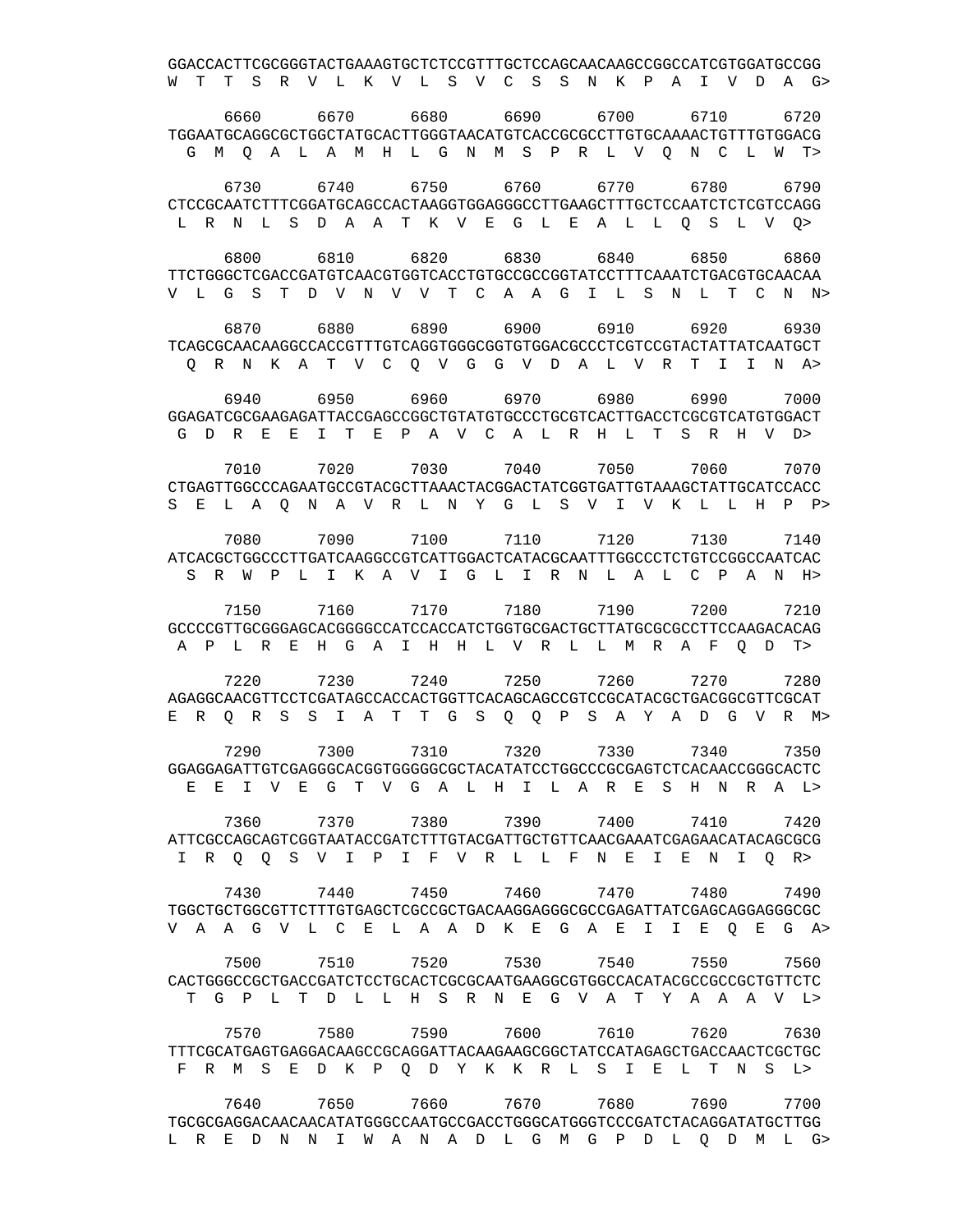GGACCACTTCGCGGGTACTGAAAGTGCTCTCCGTTTGCTCCAGCAACAAGCCGGCCATCGTGGATGCCGG W T T S R V L K V L S V C S S N K P A I V D A G> 6660 6670 6680 6690 6700 6710 6720 TGGAATGCAGGCGCTGGCTATGCACTTGGGTAACATGTCACCGCGCCTTGTGCAAAACTGTTTGTGGACG G M Q A L A M H L G N M S P R L V Q N C L W T> 6730 6740 6750 6760 6770 6780 6790 CTCCGCAATCTTTCGGATGCAGCCACTAAGGTGGAGGGCCTTGAAGCTTTGCTCCAATCTCTCGTCCAGG L R N L S D A A T K V E G L E A L L Q S L V Q> 6800 6810 6820 6830 6840 6850 6860 TTCTGGGCTCGACCGATGTCAACGTGGTCACCTGTGCCGCCGGTATCCTTTCAAATCTGACGTGCAACAA V L G S T D V N V V T C A A G I L S N L T C N N> 6870 6880 6890 6900 6910 6920 6930 TCAGCGCAACAAGGCCACCGTTTGTCAGGTGGGCGGTGTGGACGCCCTCGTCCGTACTATTATCAATGCT Q R N K A T V C Q V G G V D A L V R T I I N A> 6940 6950 6960 6970 6980 6990 7000 GGAGATCGCGAAGAGATTACCGAGCCGGCTGTATGTGCCCTGCGTCACTTGACCTCGCGTCATGTGGACT G D R E E I T E P A V C A L R H L T S R H V D> 7010 7020 7030 7040 7050 7060 7070 CTGAGTTGGCCCAGAATGCCGTACGCTTAAACTACGGACTATCGGTGATTGTAAAGCTATTGCATCCACC S E L A Q N A V R L N Y G L S V I V K L L H P P> 7080 7090 7100 7110 7120 7130 7140 ATCACGCTGGCCCTTGATCAAGGCCGTCATTGGACTCATACGCAATTTGGCCCTCTGTCCGGCCAATCAC S R W P L I K A V I G L I R N L A L C P A N H> 7150 7160 7170 7180 7190 7200 7210 GCCCCGTTGCGGGAGCACGGGGCCATCCACCATCTGGTGCGACTGCTTATGCGCGCCTTCCAAGACACAG A P L R E H G A I H H L V R L L M R A F Q D T> 7220 7230 7240 7250 7260 7270 7280 AGAGGCAACGTTCCTCGATAGCCACCACTGGTTCACAGCAGCCGTCCGCATACGCTGACGGCGTTCGCAT E R Q R S S I A T T G S Q Q P S A Y A D G V R M> 7290 7300 7310 7320 7330 7340 7350 GGAGGAGATTGTCGAGGGCACGGTGGGGGCGCTACATATCCTGGCCCGCGAGTCTCACAACCGGGCACTC E E I V E G T V G A L H I L A R E S H N R A L> 7360 7370 7380 7390 7400 7410 7420 ATTCGCCAGCAGTCGGTAATACCGATCTTTGTACGATTGCTGTTCAACGAAATCGAGAACATACAGCGCG I R Q Q S V I P I F V R L L F N E I E N I Q R> 7430 7440 7450 7460 7470 7480 7490 TGGCTGCTGGCGTTCTTTGTGAGCTCGCCGCTGACAAGGAGGGCGCCGAGATTATCGAGCAGGAGGGCGC V A A G V L C E L A A D K E G A E I I E Q E G A> 7500 7510 7520 7530 7540 7550 7560 CACTGGGCCGCTGACCGATCTCCTGCACTCGCGCAATGAAGGCGTGGCCACATACGCCGCCGCTGTTCTC T G P L T D L L H S R N E G V A T Y A A A V L> 7570 7580 7590 7600 7610 7620 7630 TTTCGCATGAGTGAGGACAAGCCGCAGGATTACAAGAAGCGGCTATCCATAGAGCTGACCAACTCGCTGC F R M S E D K P Q D Y K K R L S I E L T N S L> 7640 7650 7660 7670 7680 7690 7700 TGCGCGAGGACAACAACATATGGGCCAATGCCGACCTGGGCATGGGTCCCGATCTACAGGATATGCTTGG

L R E D N N I W A N A D L G M G P D L Q D M L G>